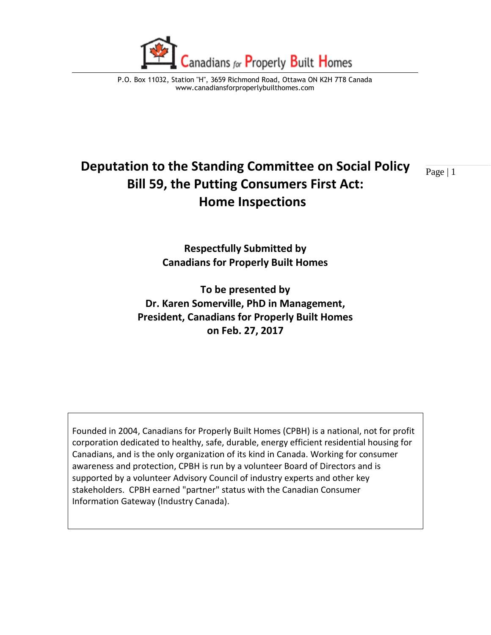

# **Deputation to the Standing Committee on Social Policy**  $\frac{}{ \text{Page} | 1}$ **Bill 59, the Putting Consumers First Act: Home Inspections**

**Respectfully Submitted by Canadians for Properly Built Homes** 

**To be presented by Dr. Karen Somerville, PhD in Management, President, Canadians for Properly Built Homes on Feb. 27, 2017**

Founded in 2004, Canadians for Properly Built Homes (CPBH) is a national, not for profit corporation dedicated to healthy, safe, durable, energy efficient residential housing for Canadians, and is the only organization of its kind in Canada. Working for consumer awareness and protection, CPBH is run by a volunteer Board of Directors and is supported by a volunteer Advisory Council of industry experts and other key stakeholders. CPBH earned "partner" status with the Canadian Consumer Information Gateway (Industry Canada).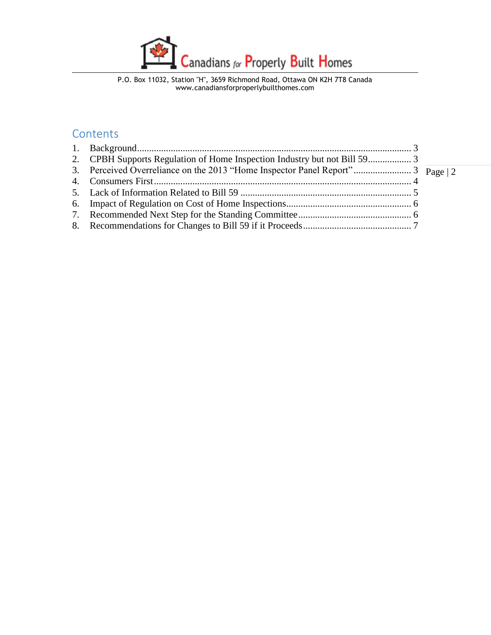

#### **Contents**

| 2. CPBH Supports Regulation of Home Inspection Industry but not Bill 593      |  |
|-------------------------------------------------------------------------------|--|
| 3. Perceived Overreliance on the 2013 "Home Inspector Panel Report"3 Page   2 |  |
|                                                                               |  |
|                                                                               |  |
|                                                                               |  |
|                                                                               |  |
|                                                                               |  |
|                                                                               |  |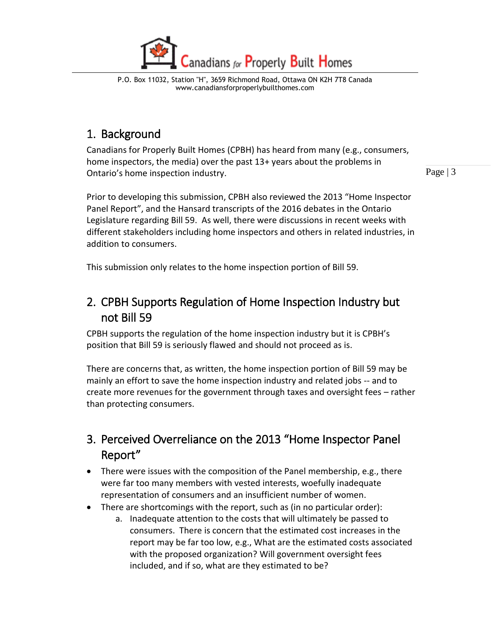

# <span id="page-2-0"></span>1. Background

Canadians for Properly Built Homes (CPBH) has heard from many (e.g., consumers, home inspectors, the media) over the past 13+ years about the problems in Ontario's home inspection industry.

Page | 3

Prior to developing this submission, CPBH also reviewed the 2013 "Home Inspector Panel Report", and the Hansard transcripts of the 2016 debates in the Ontario Legislature regarding Bill 59. As well, there were discussions in recent weeks with different stakeholders including home inspectors and others in related industries, in addition to consumers.

This submission only relates to the home inspection portion of Bill 59.

# <span id="page-2-1"></span>2. CPBH Supports Regulation of Home Inspection Industry but not Bill 59

CPBH supports the regulation of the home inspection industry but it is CPBH's position that Bill 59 is seriously flawed and should not proceed as is.

There are concerns that, as written, the home inspection portion of Bill 59 may be mainly an effort to save the home inspection industry and related jobs -- and to create more revenues for the government through taxes and oversight fees – rather than protecting consumers.

# <span id="page-2-2"></span>3. Perceived Overreliance on the 2013 "Home Inspector Panel Report"

- There were issues with the composition of the Panel membership, e.g., there were far too many members with vested interests, woefully inadequate representation of consumers and an insufficient number of women.
- There are shortcomings with the report, such as (in no particular order):
	- a. Inadequate attention to the costs that will ultimately be passed to consumers. There is concern that the estimated cost increases in the report may be far too low, e.g., What are the estimated costs associated with the proposed organization? Will government oversight fees included, and if so, what are they estimated to be?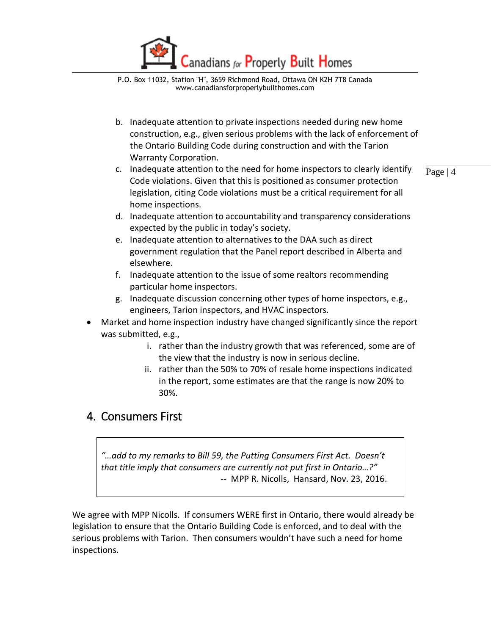

- b. Inadequate attention to private inspections needed during new home construction, e.g., given serious problems with the lack of enforcement of the Ontario Building Code during construction and with the Tarion Warranty Corporation.
- c. Inadequate attention to the need for home inspectors to clearly identify Code violations. Given that this is positioned as consumer protection legislation, citing Code violations must be a critical requirement for all home inspections.

Page | 4

- d. Inadequate attention to accountability and transparency considerations expected by the public in today's society.
- e. Inadequate attention to alternatives to the DAA such as direct government regulation that the Panel report described in Alberta and elsewhere.
- f. Inadequate attention to the issue of some realtors recommending particular home inspectors.
- g. Inadequate discussion concerning other types of home inspectors, e.g., engineers, Tarion inspectors, and HVAC inspectors.
- Market and home inspection industry have changed significantly since the report was submitted, e.g.,
	- i. rather than the industry growth that was referenced, some are of the view that the industry is now in serious decline.
	- ii. rather than the 50% to 70% of resale home inspections indicated in the report, some estimates are that the range is now 20% to 30%.

# <span id="page-3-0"></span>4. Consumers First

*"…add to my remarks to Bill 59, the Putting Consumers First Act. Doesn't that title imply that consumers are currently not put first in Ontario…?"* -- MPP R. Nicolls, Hansard, Nov. 23, 2016.

We agree with MPP Nicolls. If consumers WERE first in Ontario, there would already be legislation to ensure that the Ontario Building Code is enforced, and to deal with the serious problems with Tarion. Then consumers wouldn't have such a need for home inspections.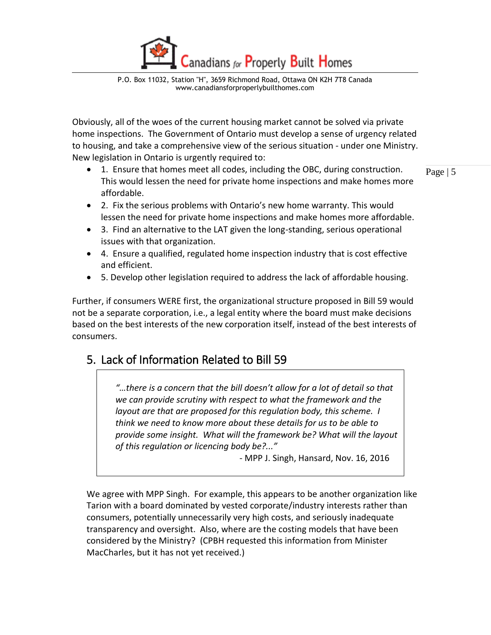anadians for Properly Built Homes

Obviously, all of the woes of the current housing market cannot be solved via private home inspections. The Government of Ontario must develop a sense of urgency related to housing, and take a comprehensive view of the serious situation - under one Ministry. New legislation in Ontario is urgently required to:

 1. Ensure that homes meet all codes, including the OBC, during construction. This would lessen the need for private home inspections and make homes more affordable.

Page | 5

- 2. Fix the serious problems with Ontario's new home warranty. This would lessen the need for private home inspections and make homes more affordable.
- 3. Find an alternative to the LAT given the long-standing, serious operational issues with that organization.
- 4. Ensure a qualified, regulated home inspection industry that is cost effective and efficient.
- 5. Develop other legislation required to address the lack of affordable housing.

Further, if consumers WERE first, the organizational structure proposed in Bill 59 would not be a separate corporation, i.e., a legal entity where the board must make decisions based on the best interests of the new corporation itself, instead of the best interests of consumers.

# <span id="page-4-0"></span>5. Lack of Information Related to Bill 59

*"…there is a concern that the bill doesn't allow for a lot of detail so that we can provide scrutiny with respect to what the framework and the layout are that are proposed for this regulation body, this scheme. I think we need to know more about these details for us to be able to provide some insight. What will the framework be? What will the layout of this regulation or licencing body be?..."*

- MPP J. Singh, Hansard, Nov. 16, 2016

We agree with MPP Singh. For example, this appears to be another organization like Tarion with a board dominated by vested corporate/industry interests rather than consumers, potentially unnecessarily very high costs, and seriously inadequate transparency and oversight. Also, where are the costing models that have been considered by the Ministry? (CPBH requested this information from Minister MacCharles, but it has not yet received.)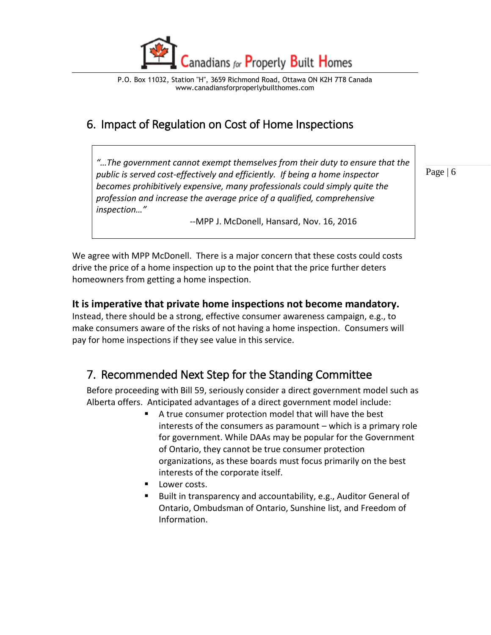

# <span id="page-5-0"></span>6. Impact of Regulation on Cost of Home Inspections

*"…The government cannot exempt themselves from their duty to ensure that the public is served cost-effectively and efficiently. If being a home inspector becomes prohibitively expensive, many professionals could simply quite the profession and increase the average price of a qualified, comprehensive inspection…"*

--MPP J. McDonell, Hansard, Nov. 16, 2016

Page | 6

We agree with MPP McDonell. There is a major concern that these costs could costs drive the price of a home inspection up to the point that the price further deters homeowners from getting a home inspection.

#### **It is imperative that private home inspections not become mandatory.**

Instead, there should be a strong, effective consumer awareness campaign, e.g., to make consumers aware of the risks of not having a home inspection. Consumers will pay for home inspections if they see value in this service.

# <span id="page-5-1"></span>7. Recommended Next Step for the Standing Committee

Before proceeding with Bill 59, seriously consider a direct government model such as Alberta offers. Anticipated advantages of a direct government model include:

- A true consumer protection model that will have the best interests of the consumers as paramount – which is a primary role for government. While DAAs may be popular for the Government of Ontario, they cannot be true consumer protection organizations, as these boards must focus primarily on the best interests of the corporate itself.
- Lower costs.
- Built in transparency and accountability, e.g., Auditor General of Ontario, Ombudsman of Ontario, Sunshine list, and Freedom of Information.